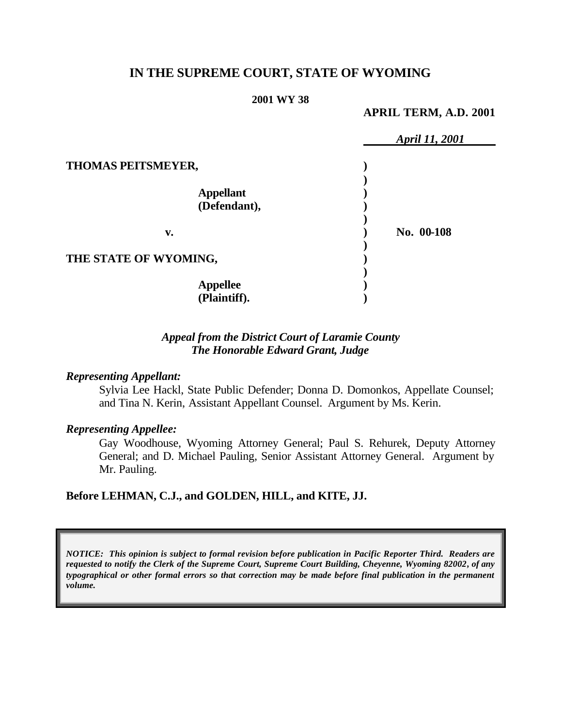# **IN THE SUPREME COURT, STATE OF WYOMING**

#### **2001 WY 38**

**APRIL TERM, A.D. 2001**

|                           | April 11, 2001 |
|---------------------------|----------------|
| <b>THOMAS PEITSMEYER,</b> |                |
|                           |                |
| <b>Appellant</b>          |                |
| (Defendant),              |                |
| v.                        | No. 00-108     |
| THE STATE OF WYOMING,     |                |
| <b>Appellee</b>           |                |
| (Plaintiff).              |                |

### *Appeal from the District Court of Laramie County The Honorable Edward Grant, Judge*

### *Representing Appellant:*

Sylvia Lee Hackl, State Public Defender; Donna D. Domonkos, Appellate Counsel; and Tina N. Kerin, Assistant Appellant Counsel. Argument by Ms. Kerin.

### *Representing Appellee:*

Gay Woodhouse, Wyoming Attorney General; Paul S. Rehurek, Deputy Attorney General; and D. Michael Pauling, Senior Assistant Attorney General. Argument by Mr. Pauling.

### **Before LEHMAN, C.J., and GOLDEN, HILL, and KITE, JJ.**

*NOTICE: This opinion is subject to formal revision before publication in Pacific Reporter Third. Readers are requested to notify the Clerk of the Supreme Court, Supreme Court Building, Cheyenne, Wyoming 82002, of any typographical or other formal errors so that correction may be made before final publication in the permanent volume.*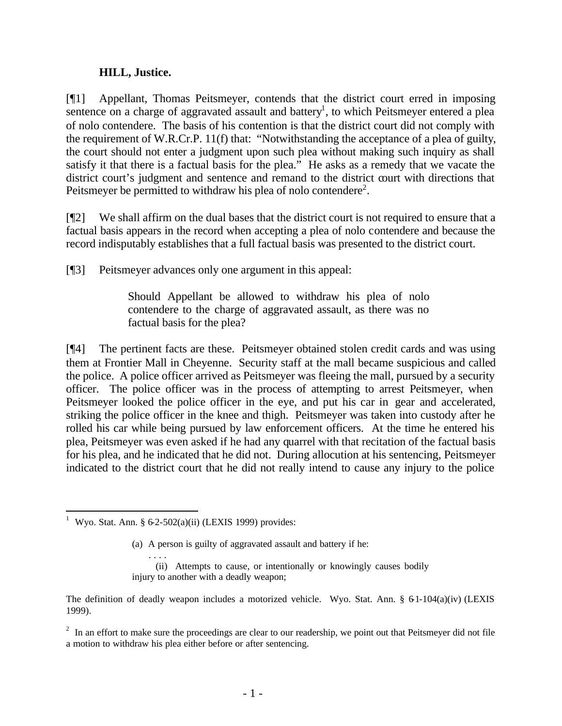## **HILL, Justice.**

[¶1] Appellant, Thomas Peitsmeyer, contends that the district court erred in imposing sentence on a charge of aggravated assault and battery<sup>1</sup>, to which Peitsmeyer entered a plea of nolo contendere. The basis of his contention is that the district court did not comply with the requirement of W.R.Cr.P. 11(f) that: "Notwithstanding the acceptance of a plea of guilty, the court should not enter a judgment upon such plea without making such inquiry as shall satisfy it that there is a factual basis for the plea." He asks as a remedy that we vacate the district court's judgment and sentence and remand to the district court with directions that Peitsmeyer be permitted to withdraw his plea of nolo contendere<sup>2</sup>.

[¶2] We shall affirm on the dual bases that the district court is not required to ensure that a factual basis appears in the record when accepting a plea of nolo contendere and because the record indisputably establishes that a full factual basis was presented to the district court.

[¶3] Peitsmeyer advances only one argument in this appeal:

Should Appellant be allowed to withdraw his plea of nolo contendere to the charge of aggravated assault, as there was no factual basis for the plea?

[¶4] The pertinent facts are these. Peitsmeyer obtained stolen credit cards and was using them at Frontier Mall in Cheyenne. Security staff at the mall became suspicious and called the police. A police officer arrived as Peitsmeyer was fleeing the mall, pursued by a security officer. The police officer was in the process of attempting to arrest Peitsmeyer, when Peitsmeyer looked the police officer in the eye, and put his car in gear and accelerated, striking the police officer in the knee and thigh. Peitsmeyer was taken into custody after he rolled his car while being pursued by law enforcement officers. At the time he entered his plea, Peitsmeyer was even asked if he had any quarrel with that recitation of the factual basis for his plea, and he indicated that he did not. During allocution at his sentencing, Peitsmeyer indicated to the district court that he did not really intend to cause any injury to the police

. . . . (ii) Attempts to cause, or intentionally or knowingly causes bodily injury to another with a deadly weapon;

The definition of deadly weapon includes a motorized vehicle. Wyo. Stat. Ann.  $\S$  61-104(a)(iv) (LEXIS 1999).

 $2<sup>2</sup>$  In an effort to make sure the proceedings are clear to our readership, we point out that Peitsmeyer did not file a motion to withdraw his plea either before or after sentencing.

l <sup>1</sup> Wyo. Stat. Ann. § 6-2-502(a)(ii) (LEXIS 1999) provides:

<sup>(</sup>a) A person is guilty of aggravated assault and battery if he: